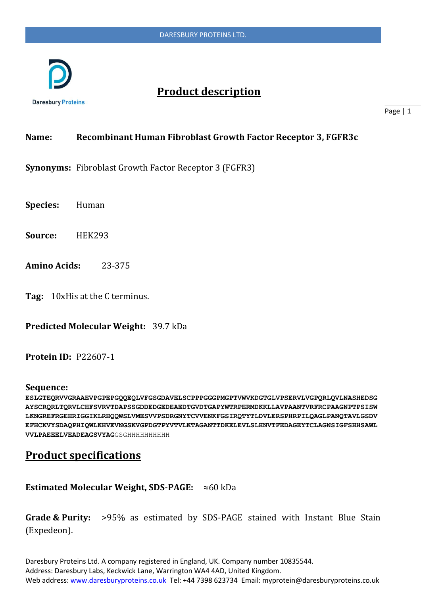

# **Product description**

Page | 1

### **Name: Recombinant Human Fibroblast Growth Factor Receptor 3, FGFR3c**

**Synonyms:** Fibroblast Growth Factor Receptor 3 (FGFR3)

**Species:** Human

**Source:** HEK293

- **Amino Acids:** 23-375
- **Tag:** 10xHis at the C terminus.

**Predicted Molecular Weight:** 39.7 kDa

**Protein ID:** P22607-1

#### **Sequence:**

**ESLGTEQRVVGRAAEVPGPEPGQQEQLVFGSGDAVELSCPPPGGGPMGPTVWVKDGTGLVPSERVLVGPQRLQVLNASHEDSG AYSCRQRLTQRVLCHFSVRVTDAPSSGDDEDGEDEAEDTGVDTGAPYWTRPERMDKKLLAVPAANTVRFRCPAAGNPTPSISW LKNGREFRGEHRIGGIKLRHQQWSLVMESVVPSDRGNYTCVVENKFGSIRQTYTLDVLERSPHRPILQAGLPANQTAVLGSDV EFHCKVYSDAQPHIQWLKHVEVNGSKVGPDGTPYVTVLKTAGANTTDKELEVLSLHNVTFEDAGEYTCLAGNSIGFSHHSAWL VVLPAEEELVEADEAGSVYAG**GSGHHHHHHHHHH

## **Product specifications**

**Estimated Molecular Weight, SDS-PAGE:** ≈60 kDa

**Grade & Purity:** >95% as estimated by SDS-PAGE stained with Instant Blue Stain (Expedeon).

Daresbury Proteins Ltd. A company registered in England, UK. Company number 10835544. Address: Daresbury Labs, Keckwick Lane, Warrington WA4 4AD, United Kingdom. Web address[: www.daresburyproteins.co.uk](http://www.daresburyproteins.co.uk/) Tel: +44 7398 623734 Email: myprotein@daresburyproteins.co.uk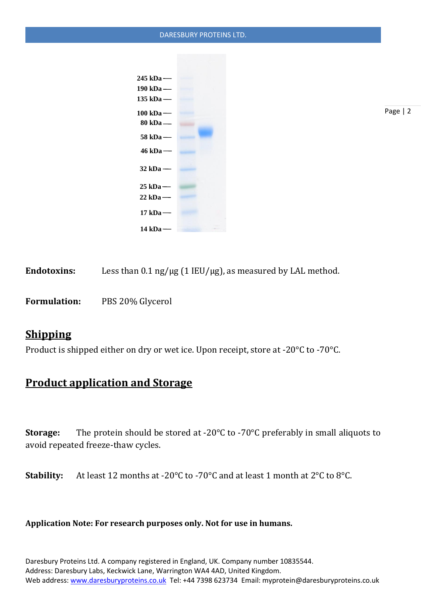### DARESBURY PROTEINS LTD.



Page | 2

Endotoxins: Less than 0.1 ng/µg (1 IEU/µg), as measured by LAL method.

**Formulation:** PBS 20% Glycerol

## **Shipping**

Product is shipped either on dry or wet ice. Upon receipt, store at -20°C to -70°C.

# **Product application and Storage**

**Storage:** The protein should be stored at -20°C to -70°C preferably in small aliquots to avoid repeated freeze-thaw cycles.

**Stability:** At least 12 months at -20°C to -70°C and at least 1 month at 2°C to 8°C.

### **Application Note: For research purposes only. Not for use in humans.**